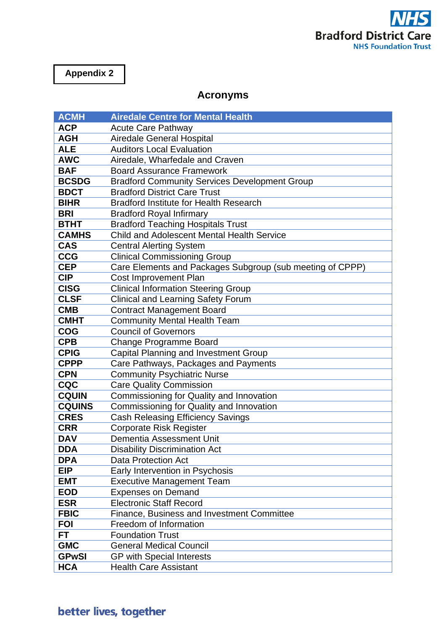

## **Appendix 2**

## **Acronyms**

| <b>ACMH</b>   | <b>Airedale Centre for Mental Health</b>                  |
|---------------|-----------------------------------------------------------|
| <b>ACP</b>    | <b>Acute Care Pathway</b>                                 |
| <b>AGH</b>    | <b>Airedale General Hospital</b>                          |
| <b>ALE</b>    | <b>Auditors Local Evaluation</b>                          |
| <b>AWC</b>    | Airedale, Wharfedale and Craven                           |
| <b>BAF</b>    | <b>Board Assurance Framework</b>                          |
| <b>BCSDG</b>  | <b>Bradford Community Services Development Group</b>      |
| <b>BDCT</b>   | <b>Bradford District Care Trust</b>                       |
| <b>BIHR</b>   | <b>Bradford Institute for Health Research</b>             |
| <b>BRI</b>    | <b>Bradford Royal Infirmary</b>                           |
| <b>BTHT</b>   | <b>Bradford Teaching Hospitals Trust</b>                  |
| <b>CAMHS</b>  | <b>Child and Adolescent Mental Health Service</b>         |
| <b>CAS</b>    | <b>Central Alerting System</b>                            |
| <b>CCG</b>    | <b>Clinical Commissioning Group</b>                       |
| <b>CEP</b>    | Care Elements and Packages Subgroup (sub meeting of CPPP) |
| <b>CIP</b>    | <b>Cost Improvement Plan</b>                              |
| <b>CISG</b>   | <b>Clinical Information Steering Group</b>                |
| <b>CLSF</b>   | <b>Clinical and Learning Safety Forum</b>                 |
| <b>CMB</b>    | <b>Contract Management Board</b>                          |
| <b>CMHT</b>   | <b>Community Mental Health Team</b>                       |
| <b>COG</b>    | <b>Council of Governors</b>                               |
| <b>CPB</b>    | <b>Change Programme Board</b>                             |
| <b>CPIG</b>   | <b>Capital Planning and Investment Group</b>              |
| <b>CPPP</b>   | Care Pathways, Packages and Payments                      |
| <b>CPN</b>    | <b>Community Psychiatric Nurse</b>                        |
| <b>CQC</b>    | <b>Care Quality Commission</b>                            |
| <b>CQUIN</b>  | Commissioning for Quality and Innovation                  |
| <b>CQUINS</b> | Commissioning for Quality and Innovation                  |
| <b>CRES</b>   | <b>Cash Releasing Efficiency Savings</b>                  |
| <b>CRR</b>    | <b>Corporate Risk Register</b>                            |
| <b>DAV</b>    | Dementia Assessment Unit                                  |
| <b>DDA</b>    | <b>Disability Discrimination Act</b>                      |
| <b>DPA</b>    | Data Protection Act                                       |
| <b>EIP</b>    | Early Intervention in Psychosis                           |
| <b>EMT</b>    | <b>Executive Management Team</b>                          |
| <b>EOD</b>    | <b>Expenses on Demand</b>                                 |
| <b>ESR</b>    | <b>Electronic Staff Record</b>                            |
| <b>FBIC</b>   | Finance, Business and Investment Committee                |
| <b>FOI</b>    | Freedom of Information                                    |
| <b>FT</b>     | <b>Foundation Trust</b>                                   |
| <b>GMC</b>    | <b>General Medical Council</b>                            |
| <b>GPwSI</b>  | <b>GP with Special Interests</b>                          |
| <b>HCA</b>    | <b>Health Care Assistant</b>                              |

## better lives, together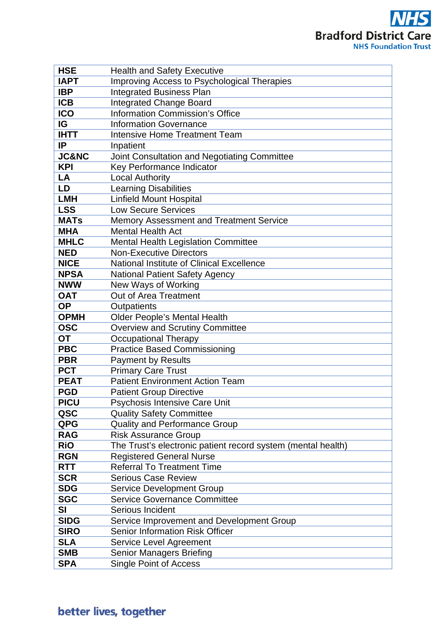**NHS Bradford District Care NHS Foundation Trust** 

| <b>HSE</b>        | <b>Health and Safety Executive</b>                                  |
|-------------------|---------------------------------------------------------------------|
| <b>IAPT</b>       | Improving Access to Psychological Therapies                         |
| <b>IBP</b>        | <b>Integrated Business Plan</b>                                     |
| <b>ICB</b>        | <b>Integrated Change Board</b>                                      |
| <b>ICO</b>        | <b>Information Commission's Office</b>                              |
| IG                | <b>Information Governance</b>                                       |
| <b>IHTT</b>       | <b>Intensive Home Treatment Team</b>                                |
| IP                | Inpatient                                                           |
| <b>JC&amp;NC</b>  | Joint Consultation and Negotiating Committee                        |
| <b>KPI</b>        | Key Performance Indicator                                           |
| LA                | <b>Local Authority</b>                                              |
| LD                | <b>Learning Disabilities</b>                                        |
| <b>LMH</b>        | <b>Linfield Mount Hospital</b>                                      |
| <b>LSS</b>        | <b>Low Secure Services</b>                                          |
| <b>MATs</b>       | Memory Assessment and Treatment Service                             |
| <b>MHA</b>        | <b>Mental Health Act</b>                                            |
| <b>MHLC</b>       | <b>Mental Health Legislation Committee</b>                          |
| <b>NED</b>        | <b>Non-Executive Directors</b>                                      |
| <b>NICE</b>       | National Institute of Clinical Excellence                           |
| <b>NPSA</b>       | <b>National Patient Safety Agency</b>                               |
| <b>NWW</b>        | New Ways of Working                                                 |
| <b>OAT</b>        | Out of Area Treatment                                               |
| <b>OP</b>         | Outpatients                                                         |
| <b>OPMH</b>       | <b>Older People's Mental Health</b>                                 |
| <b>OSC</b>        | <b>Overview and Scrutiny Committee</b>                              |
| ОT                | <b>Occupational Therapy</b>                                         |
| <b>PBC</b>        | <b>Practice Based Commissioning</b>                                 |
| <b>PBR</b>        | <b>Payment by Results</b>                                           |
| <b>PCT</b>        | <b>Primary Care Trust</b>                                           |
| <b>PEAT</b>       | <b>Patient Environment Action Team</b>                              |
| <b>PGD</b>        | <b>Patient Group Directive</b>                                      |
| <b>PICU</b>       | Psychosis Intensive Care Unit                                       |
| QSC<br><b>QPG</b> | <b>Quality Safety Committee</b>                                     |
| <b>RAG</b>        | <b>Quality and Performance Group</b><br><b>Risk Assurance Group</b> |
| <b>RiO</b>        | The Trust's electronic patient record system (mental health)        |
| <b>RGN</b>        | <b>Registered General Nurse</b>                                     |
| <b>RTT</b>        | <b>Referral To Treatment Time</b>                                   |
| <b>SCR</b>        | <b>Serious Case Review</b>                                          |
| <b>SDG</b>        | <b>Service Development Group</b>                                    |
| <b>SGC</b>        | <b>Service Governance Committee</b>                                 |
| SI                | Serious Incident                                                    |
| <b>SIDG</b>       | Service Improvement and Development Group                           |
| <b>SIRO</b>       | <b>Senior Information Risk Officer</b>                              |
| <b>SLA</b>        | Service Level Agreement                                             |
| <b>SMB</b>        | <b>Senior Managers Briefing</b>                                     |
| <b>SPA</b>        | <b>Single Point of Access</b>                                       |
|                   |                                                                     |

## better lives, together